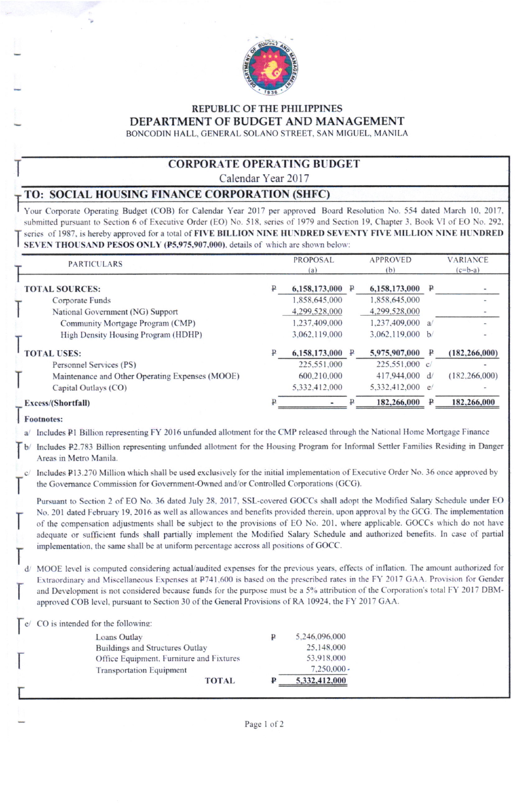

# **REPUBLIC OF THE PHILIPPINES** DEPARTMENT OF BUDGET AND MANAGEMENT

BONCODIN HALL, GENERAL SOLANO STREET, SAN MIGUEL, MANILA

#### **CORPORATE OPERATING BUDGET**

Calendar Year 2017

## TO: SOCIAL HOUSING FINANCE CORPORATION (SHFC)

Your Corporate Operating Budget (COB) for Calendar Year 2017 per approved Board Resolution No. 554 dated March 10, 2017, submitted pursuant to Section 6 of Executive Order (EO) No. 518, series of 1979 and Section 19, Chapter 3, Book VI of EO No. 292, series of 1987, is hereby approved for a total of FIVE BILLION NINE HUNDRED SEVENTY FIVE MILLION NINE HUNDRED SEVEN THOUSAND PESOS ONLY (P5,975,907,000), details of which are shown below:

| <b>PARTICULARS</b>                              | <b>PROPOSAL</b><br>(a) |   | <b>APPROVED</b><br>(b) |   | <b>VARIANCE</b><br>$(c=b-a)$ |
|-------------------------------------------------|------------------------|---|------------------------|---|------------------------------|
| <b>TOTAL SOURCES:</b>                           | 6,158,173,000          | ₽ | 6,158,173,000          | ₽ |                              |
| Corporate Funds                                 | 1,858,645,000          |   | 1,858,645,000          |   |                              |
| National Government (NG) Support                | 4,299,528,000          |   | 4,299,528,000          |   |                              |
| Community Mortgage Program (CMP)                | 1,237,409,000          |   | 1,237,409,000 a/       |   |                              |
| High Density Housing Program (HDHP)             | 3,062,119,000          |   | 3,062,119,000 $b/$     |   |                              |
| <b>TOTAL USES:</b>                              | 6,158,173,000          |   | 5,975,907,000          |   | (182, 266, 000)              |
| Personnel Services (PS)                         | 225,551,000            |   | $225,551,000$ c/       |   |                              |
| Maintenance and Other Operating Expenses (MOOE) | 600.210.000            |   | 417,944,000            | d | (182, 266, 000)              |
| Capital Outlays (CO)                            | 5,332,412,000          |   | 5,332,412,000 e/       |   |                              |
| Excess/(Shortfall)                              |                        |   | 182,266,000            |   | 182,266,000                  |

#### Footnotes:

a/ Includes P1 Billion representing FY 2016 unfunded allotment for the CMP released through the National Home Mortgage Finance

b/ Includes P2.783 Billion representing unfunded allotment for the Housing Program for Informal Settler Families Residing in Danger Areas in Metro Manila.

Includes P13.270 Million which shall be used exclusively for the initial implementation of Executive Order No. 36 once approved by the Governance Commission for Government-Owned and/or Controlled Corporations (GCG).

Pursuant to Section 2 of EO No. 36 dated July 28, 2017, SSL-covered GOCCs shall adopt the Modified Salary Schedule under EO No. 201 dated February 19, 2016 as well as allowances and benefits provided therein, upon approval by the GCG. The implementation of the compensation adjustments shall be subject to the provisions of EO No. 201, where applicable. GOCCs which do not have adequate or sufficient funds shall partially implement the Modified Salary Schedule and authorized benefits. In case of partial implementation, the same shall be at uniform percentage accross all positions of GOCC.

d/ MOOE level is computed considering actual/audited expenses for the previous years, effects of inflation. The amount authorized for Extraordinary and Miscellaneous Expenses at P741,600 is based on the prescribed rates in the FY 2017 GAA. Provision for Gender and Development is not considered because funds for the purpose must be a 5% attribution of the Corporation's total FY 2017 DBMapproved COB level, pursuant to Section 30 of the General Provisions of RA 10924, the FY 2017 GAA.

CO is intended for the following:

|                                 | <b>TOTAL</b>                             | ₽ | 5,332,412,000 |
|---------------------------------|------------------------------------------|---|---------------|
| <b>Transportation Equipment</b> |                                          |   | 7,250,000     |
|                                 | Office Equipment, Furniture and Fixtures |   | 53.918.000    |
| Buildings and Structures Outlay |                                          |   | 25,148,000    |
| Loans Outlay                    |                                          | ₽ | 5,246,096,000 |